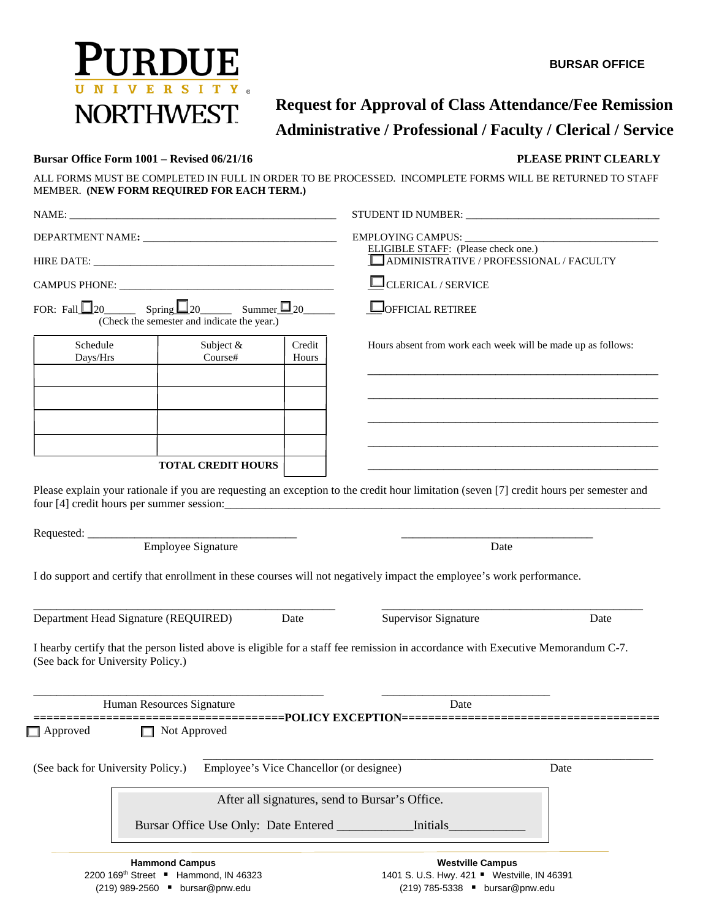



# **Administrative / Professional / Faculty / Clerical / Service Request for Approval of Class Attendance/Fee Remission**

### **Bursar Office Form 1001 – Revised 06/21/16 PLEASE PRINT CLEARLY PLEASE PRINT CLEARLY**

ALL FORMS MUST BE COMPLETED IN FULL IN ORDER TO BE PROCESSED. INCOMPLETE FORMS WILL BE RETURNED TO STAFF MEMBER. **(NEW FORM REQUIRED FOR EACH TERM.)** 

| NAME:                                             |                                                                                                      |                 |                                                                                                                                         |      |
|---------------------------------------------------|------------------------------------------------------------------------------------------------------|-----------------|-----------------------------------------------------------------------------------------------------------------------------------------|------|
|                                                   |                                                                                                      |                 |                                                                                                                                         |      |
|                                                   |                                                                                                      |                 | <b>ELIGIBLE STAFF:</b> (Please check one.)<br>ADMINISTRATIVE / PROFESSIONAL / FACULTY                                                   |      |
|                                                   |                                                                                                      |                 | <b>CLERICAL / SERVICE</b>                                                                                                               |      |
|                                                   | FOR: Fall $\Box$ 20 Spring $\Box$ 20 Summer $\Box$ 20<br>(Check the semester and indicate the year.) |                 | <b>O</b> OFFICIAL RETIREE                                                                                                               |      |
| Schedule<br>Days/Hrs                              | Subject &<br>Course#                                                                                 | Credit<br>Hours | Hours absent from work each week will be made up as follows:                                                                            |      |
|                                                   |                                                                                                      |                 |                                                                                                                                         |      |
|                                                   |                                                                                                      |                 |                                                                                                                                         |      |
|                                                   |                                                                                                      |                 |                                                                                                                                         |      |
|                                                   | <b>TOTAL CREDIT HOURS</b>                                                                            |                 |                                                                                                                                         |      |
|                                                   |                                                                                                      |                 | Please explain your rationale if you are requesting an exception to the credit hour limitation (seven [7] credit hours per semester and |      |
|                                                   |                                                                                                      |                 |                                                                                                                                         |      |
|                                                   | <b>Employee Signature</b>                                                                            |                 | Date                                                                                                                                    |      |
|                                                   |                                                                                                      |                 | I do support and certify that enrollment in these courses will not negatively impact the employee's work performance.                   |      |
| Department Head Signature (REQUIRED)              |                                                                                                      | Date            | <b>Supervisor Signature</b>                                                                                                             | Date |
| (See back for University Policy.)                 |                                                                                                      |                 | I hearby certify that the person listed above is eligible for a staff fee remission in accordance with Executive Memorandum C-7.        |      |
| Human Resources Signature                         |                                                                                                      |                 | Date                                                                                                                                    |      |
| Approved                                          | □ Not Approved                                                                                       |                 | ===============================POLICY EXCEPTION===========================                                                              |      |
| (See back for University Policy.)                 | Employee's Vice Chancellor (or designee)                                                             |                 |                                                                                                                                         | Date |
|                                                   |                                                                                                      |                 | After all signatures, send to Bursar's Office.                                                                                          |      |
|                                                   | Bursar Office Use Only: Date Entered __________                                                      |                 | Initials                                                                                                                                |      |
|                                                   | <b>Hammond Campus</b>                                                                                |                 | <b>Westville Campus</b>                                                                                                                 |      |
| 2200 169 <sup>th</sup> Street ■ Hammond, IN 46323 |                                                                                                      |                 | 1401 S. U.S. Hwy. 421 " Westville, IN 46391                                                                                             |      |
|                                                   |                                                                                                      |                 |                                                                                                                                         |      |